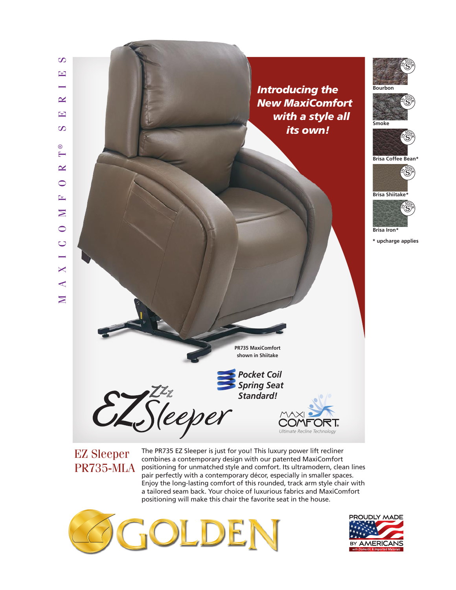

combines a contemporary design with our patented MaxiComfort  $PR735-MLA$  positioning for unmatched style and comfort. Its ultramodern, clean lines pair perfectly with a contemporary décor, especially in smaller spaces. Enjoy the long-lasting comfort of this rounded, track arm style chair with a tailored seam back. Your choice of luxurious fabrics and MaxiComfort positioning will make this chair the favorite seat in the house.